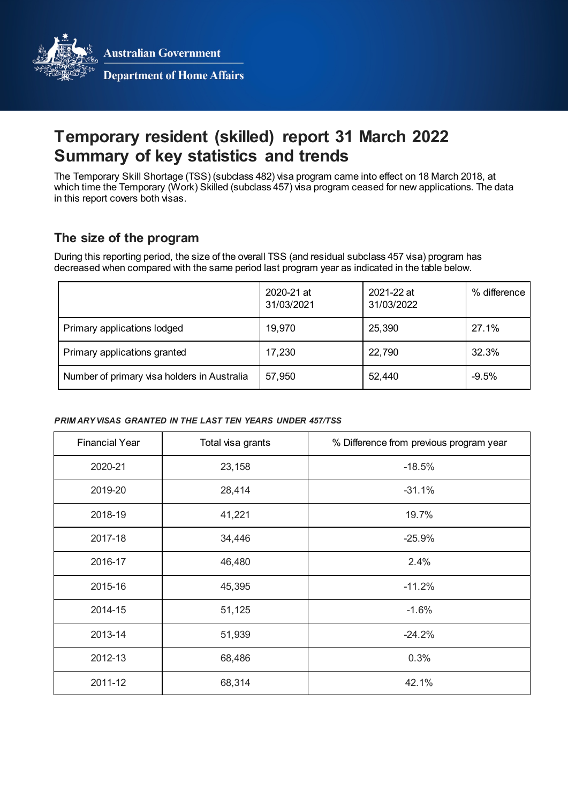**Australian Government** 



**Department of Home Affairs** 

# **Temporary resident (skilled) report 31 March 2022 Summary of key statistics and trends**

The Temporary Skill Shortage (TSS) (subclass 482) visa program came into effect on 18 March 2018, at which time the Temporary (Work) Skilled (subclass 457) visa program ceased for new applications. The data in this report covers both visas.

# **The size of the program**

During this reporting period, the size of the overall TSS (and residual subclass 457 visa) program has decreased when compared with the same period last program year as indicated in the table below.

|                                             | 2020-21 at<br>31/03/2021 | 2021-22 at<br>31/03/2022 | $%$ difference |
|---------------------------------------------|--------------------------|--------------------------|----------------|
| Primary applications lodged                 | 19,970                   | 25,390                   | 27.1%          |
| Primary applications granted                | 17,230                   | 22,790                   | 32.3%          |
| Number of primary visa holders in Australia | 57,950                   | 52,440                   | $-9.5%$        |

#### *PRIM ARY VISAS GRANTED IN THE LAST TEN YEARS UNDER 457/TSS*

| <b>Financial Year</b> | Total visa grants | % Difference from previous program year |
|-----------------------|-------------------|-----------------------------------------|
| 2020-21               | 23,158            | $-18.5%$                                |
| 2019-20               | 28,414            | $-31.1%$                                |
| 2018-19               | 41,221            | 19.7%                                   |
| 2017-18               | 34,446            | $-25.9%$                                |
| 2016-17               | 46,480            | 2.4%                                    |
| 2015-16               | 45,395            | $-11.2%$                                |
| 2014-15               | 51,125            | $-1.6%$                                 |
| 2013-14               | 51,939            | $-24.2%$                                |
| 2012-13               | 68,486            | 0.3%                                    |
| 2011-12               | 68,314            | 42.1%                                   |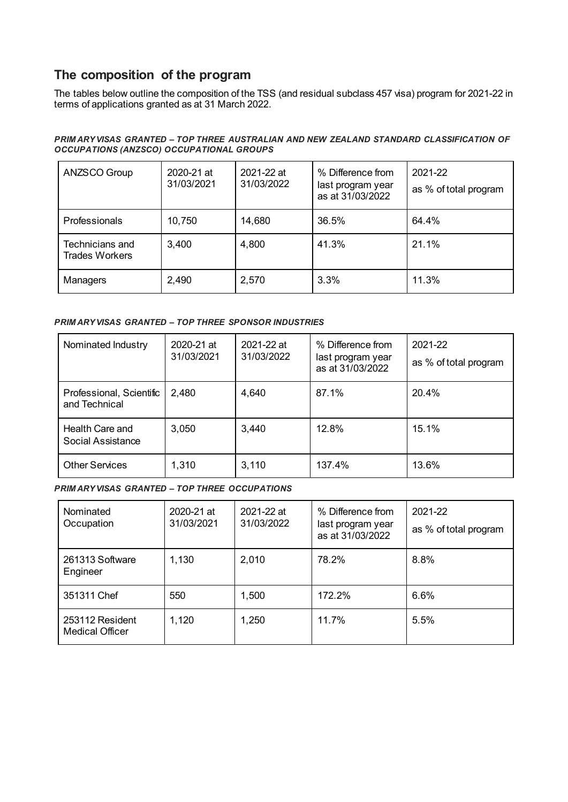# **The composition of the program**

The tables below outline the composition of the TSS (and residual subclass 457 visa) program for 2021-22 in terms of applications granted as at 31 March 2022.

#### *PRIM ARY VISAS GRANTED – TOP THREE AUSTRALIAN AND NEW ZEALAND STANDARD CLASSIFICATION OF OCCUPATIONS (ANZSCO) OCCUPATIONAL GROUPS*

| ANZSCO Group                      | 2020-21 at<br>31/03/2021 | 2021-22 at<br>31/03/2022 | % Difference from<br>last program year<br>as at 31/03/2022 | 2021-22<br>as % of total program |
|-----------------------------------|--------------------------|--------------------------|------------------------------------------------------------|----------------------------------|
| Professionals                     | 10,750                   | 14,680                   | 36.5%                                                      | 64.4%                            |
| Technicians and<br>Trades Workers | 3,400                    | 4,800                    | 41.3%                                                      | 21.1%                            |
| Managers                          | 2,490                    | 2,570                    | 3.3%                                                       | 11.3%                            |

### *PRIM ARY VISAS GRANTED – TOP THREE SPONSOR INDUSTRIES*

| Nominated Industry                        | 2020-21 at<br>31/03/2021 | 2021-22 at<br>31/03/2022 | % Difference from<br>last program year<br>as at 31/03/2022 | 2021-22<br>as % of total program |
|-------------------------------------------|--------------------------|--------------------------|------------------------------------------------------------|----------------------------------|
| Professional, Scientific<br>and Technical | 2,480                    | 4,640                    | 87.1%                                                      | 20.4%                            |
| Health Care and<br>Social Assistance      | 3,050                    | 3,440                    | 12.8%                                                      | 15.1%                            |
| <b>Other Services</b>                     | 1,310                    | 3,110                    | 137.4%                                                     | 13.6%                            |

#### *PRIM ARY VISAS GRANTED – TOP THREE OCCUPATIONS*

| Nominated<br>Occupation                   | 2020-21 at<br>31/03/2021 | 2021-22 at<br>31/03/2022 | % Difference from<br>last program year<br>as at 31/03/2022 | 2021-22<br>as % of total program |
|-------------------------------------------|--------------------------|--------------------------|------------------------------------------------------------|----------------------------------|
| 261313 Software<br>Engineer               | 1,130                    | 2,010                    | 78.2%                                                      | 8.8%                             |
| 351311 Chef                               | 550                      | 1,500                    | 172.2%                                                     | 6.6%                             |
| 253112 Resident<br><b>Medical Officer</b> | 1,120                    | 1,250                    | 11.7%                                                      | 5.5%                             |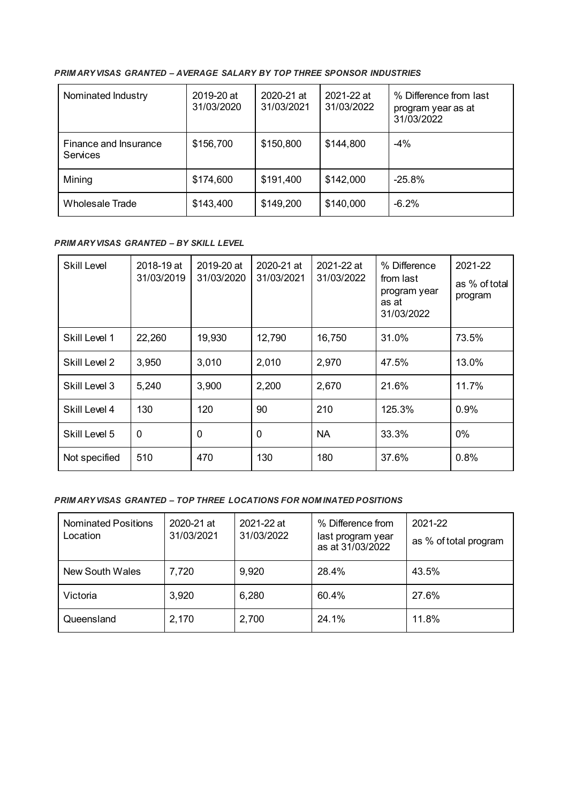#### *PRIM ARY VISAS GRANTED – AVERAGE SALARY BY TOP THREE SPONSOR INDUSTRIES*

| Nominated Industry                       | 2019-20 at<br>31/03/2020 | 2020-21 at<br>31/03/2021 | $2021 - 22$ at<br>31/03/2022 | % Difference from last<br>program year as at<br>31/03/2022 |
|------------------------------------------|--------------------------|--------------------------|------------------------------|------------------------------------------------------------|
| Finance and Insurance<br><b>Services</b> | \$156,700                | \$150,800                | \$144,800                    | $-4%$                                                      |
| Mining                                   | \$174,600                | \$191,400                | \$142,000                    | $-25.8%$                                                   |
| Wholesale Trade                          | \$143,400                | \$149,200                | \$140,000                    | $-6.2%$                                                    |

#### *PRIM ARY VISAS GRANTED – BY SKILL LEVEL*

| <b>Skill Level</b> | 2018-19 at<br>31/03/2019 | 2019-20 at<br>31/03/2020 | 2020-21 at<br>31/03/2021 | 2021-22 at<br>31/03/2022 | % Difference<br>from last<br>program year<br>as at<br>31/03/2022 | 2021-22<br>as % of total<br>program |
|--------------------|--------------------------|--------------------------|--------------------------|--------------------------|------------------------------------------------------------------|-------------------------------------|
| Skill Level 1      | 22,260                   | 19,930                   | 12,790                   | 16,750                   | 31.0%                                                            | 73.5%                               |
| Skill Level 2      | 3,950                    | 3,010                    | 2,010                    | 2,970                    | 47.5%                                                            | 13.0%                               |
| Skill Level 3      | 5,240                    | 3,900                    | 2,200                    | 2,670                    | 21.6%                                                            | 11.7%                               |
| Skill Level 4      | 130                      | 120                      | 90                       | 210                      | 125.3%                                                           | 0.9%                                |
| Skill Level 5      | 0                        | $\Omega$                 | 0                        | <b>NA</b>                | 33.3%                                                            | $0\%$                               |
| Not specified      | 510                      | 470                      | 130                      | 180                      | 37.6%                                                            | 0.8%                                |

#### *PRIM ARY VISAS GRANTED – TOP THREE LOCATIONS FOR NOM INATED POSITIONS*

| <b>Nominated Positions</b><br>Location | 2020-21 at<br>31/03/2021 | 2021-22 at<br>31/03/2022 | % Difference from<br>last program year<br>as at 31/03/2022 | 2021-22<br>as % of total program |
|----------------------------------------|--------------------------|--------------------------|------------------------------------------------------------|----------------------------------|
| New South Wales                        | 7,720                    | 9,920                    | 28.4%                                                      | 43.5%                            |
| Victoria                               | 3,920                    | 6,280                    | 60.4%                                                      | 27.6%                            |
| Queensland                             | 2,170                    | 2,700                    | 24.1%                                                      | 11.8%                            |